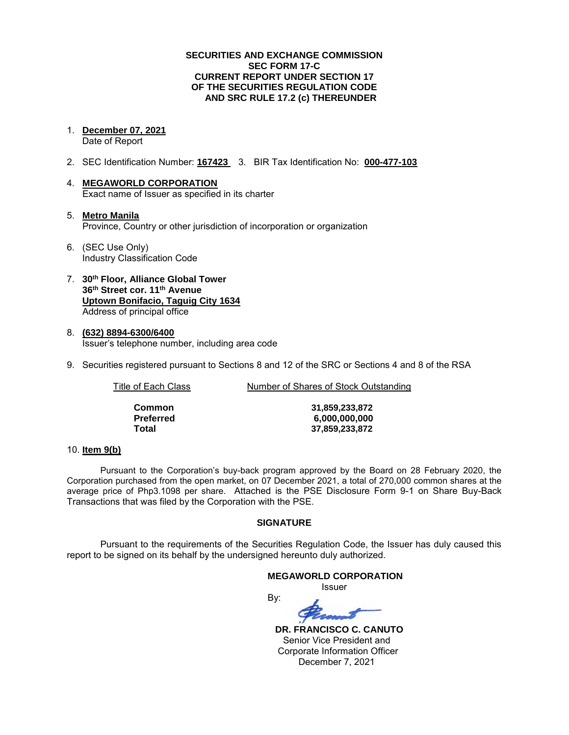### **SECURITIES AND EXCHANGE COMMISSION SEC FORM 17-C CURRENT REPORT UNDER SECTION 17 OF THE SECURITIES REGULATION CODE AND SRC RULE 17.2 (c) THEREUNDER**

1. **December 07, 2021** 

Date of Report

- 2. SEC Identification Number: **167423** 3. BIR Tax Identification No: **000-477-103**
- 4. **MEGAWORLD CORPORATION**  Exact name of Issuer as specified in its charter
- 5. **Metro Manila** Province, Country or other jurisdiction of incorporation or organization
- 6. (SEC Use Only) Industry Classification Code
- 7. **30th Floor, Alliance Global Tower 36th Street cor. 11th Avenue Uptown Bonifacio, Taguig City 1634** Address of principal office
- 8. **(632) 8894-6300/6400**  Issuer's telephone number, including area code
- 9. Securities registered pursuant to Sections 8 and 12 of the SRC or Sections 4 and 8 of the RSA

| Title of Each Class | Number of Shares of Stock Outstanding |  |
|---------------------|---------------------------------------|--|
| Common              | 31,859,233,872                        |  |

**Preferred 6,000,000,000 Total 37,859,233,872**

### 10. **Item 9(b)**

Pursuant to the Corporation's buy-back program approved by the Board on 28 February 2020, the Corporation purchased from the open market, on 07 December 2021, a total of 270,000 common shares at the average price of Php3.1098 per share. Attached is the PSE Disclosure Form 9-1 on Share Buy-Back Transactions that was filed by the Corporation with the PSE.

## **SIGNATURE**

Pursuant to the requirements of the Securities Regulation Code, the Issuer has duly caused this report to be signed on its behalf by the undersigned hereunto duly authorized.

### **MEGAWORLD CORPORATION**

*<u>Issuer</u> Issuer Issuer* 

By:

 **DR. FRANCISCO C. CANUTO**  Senior Vice President and Corporate Information Officer December 7, 2021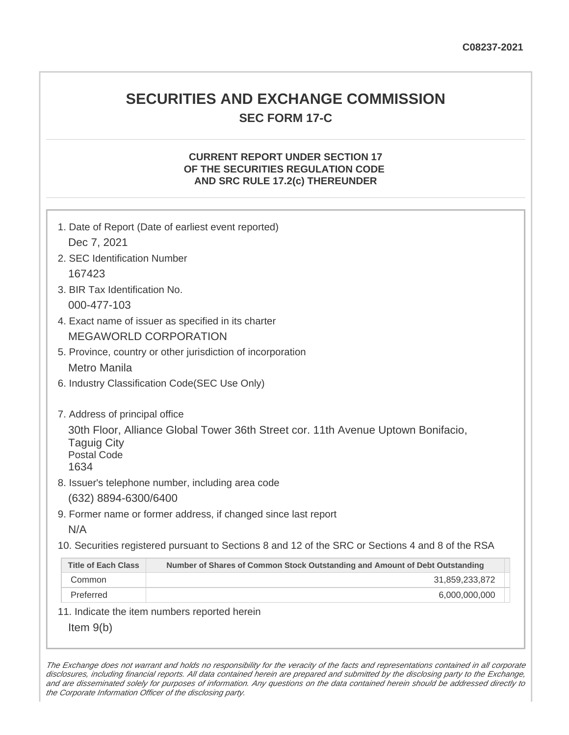## **SECURITIES AND EXCHANGE COMMISSION SEC FORM 17-C**

## **CURRENT REPORT UNDER SECTION 17 OF THE SECURITIES REGULATION CODE AND SRC RULE 17.2(c) THEREUNDER**

| 1. Date of Report (Date of earliest event reported)<br>Dec 7, 2021                                                                   |                                                                             |  |  |  |
|--------------------------------------------------------------------------------------------------------------------------------------|-----------------------------------------------------------------------------|--|--|--|
| 2. SEC Identification Number                                                                                                         |                                                                             |  |  |  |
| 167423                                                                                                                               |                                                                             |  |  |  |
| 3. BIR Tax Identification No.                                                                                                        |                                                                             |  |  |  |
| 000-477-103                                                                                                                          |                                                                             |  |  |  |
| 4. Exact name of issuer as specified in its charter                                                                                  |                                                                             |  |  |  |
| <b>MEGAWORLD CORPORATION</b>                                                                                                         |                                                                             |  |  |  |
| 5. Province, country or other jurisdiction of incorporation                                                                          |                                                                             |  |  |  |
| <b>Metro Manila</b>                                                                                                                  |                                                                             |  |  |  |
| 6. Industry Classification Code(SEC Use Only)                                                                                        |                                                                             |  |  |  |
|                                                                                                                                      |                                                                             |  |  |  |
| 7. Address of principal office                                                                                                       |                                                                             |  |  |  |
| 30th Floor, Alliance Global Tower 36th Street cor. 11th Avenue Uptown Bonifacio,<br><b>Taguig City</b><br><b>Postal Code</b><br>1634 |                                                                             |  |  |  |
| 8. Issuer's telephone number, including area code                                                                                    |                                                                             |  |  |  |
| (632) 8894-6300/6400                                                                                                                 |                                                                             |  |  |  |
| 9. Former name or former address, if changed since last report                                                                       |                                                                             |  |  |  |
| N/A                                                                                                                                  |                                                                             |  |  |  |
| 10. Securities registered pursuant to Sections 8 and 12 of the SRC or Sections 4 and 8 of the RSA                                    |                                                                             |  |  |  |
| <b>Title of Each Class</b>                                                                                                           | Number of Shares of Common Stock Outstanding and Amount of Debt Outstanding |  |  |  |
| Common                                                                                                                               | 31,859,233,872                                                              |  |  |  |
| Preferred                                                                                                                            | 6,000,000,000                                                               |  |  |  |
| 11. Indicate the item numbers reported herein                                                                                        |                                                                             |  |  |  |
| Item $9(b)$                                                                                                                          |                                                                             |  |  |  |

The Exchange does not warrant and holds no responsibility for the veracity of the facts and representations contained in all corporate disclosures, including financial reports. All data contained herein are prepared and submitted by the disclosing party to the Exchange, and are disseminated solely for purposes of information. Any questions on the data contained herein should be addressed directly to the Corporate Information Officer of the disclosing party.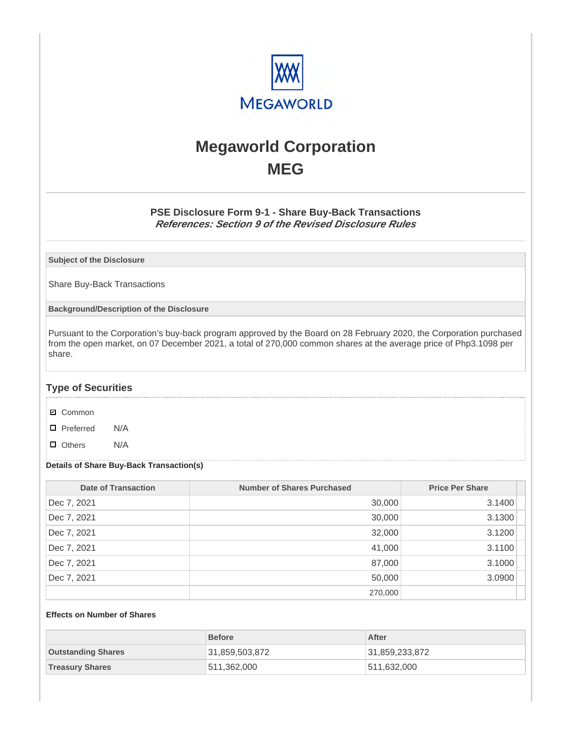

# **Megaworld Corporation MEG**

## **PSE Disclosure Form 9-1 - Share Buy-Back Transactions References: Section 9 of the Revised Disclosure Rules**

**Subject of the Disclosure**

Share Buy-Back Transactions

**Background/Description of the Disclosure**

Pursuant to the Corporation's buy-back program approved by the Board on 28 February 2020, the Corporation purchased from the open market, on 07 December 2021, a total of 270,000 common shares at the average price of Php3.1098 per share.

## **Type of Securities**

- **☑** Common
- □ Preferred N/A
- D Others N/A

### **Details of Share Buy-Back Transaction(s)**

| <b>Date of Transaction</b> | <b>Number of Shares Purchased</b> | <b>Price Per Share</b> |
|----------------------------|-----------------------------------|------------------------|
| Dec 7, 2021                | 30,000                            | 3.1400                 |
| Dec 7, 2021                | 30,000                            | 3.1300                 |
| Dec 7, 2021                | 32,000                            | 3.1200                 |
| Dec 7, 2021                | 41,000                            | 3.1100                 |
| Dec 7, 2021                | 87,000                            | 3.1000                 |
| Dec 7, 2021                | 50,000                            | 3.0900                 |
|                            | 270,000                           |                        |

#### **Effects on Number of Shares**

|                           | <b>Before</b>  | After          |
|---------------------------|----------------|----------------|
| <b>Outstanding Shares</b> | 31,859,503,872 | 31,859,233,872 |
| <b>Treasury Shares</b>    | 511,362,000    | 511,632,000    |